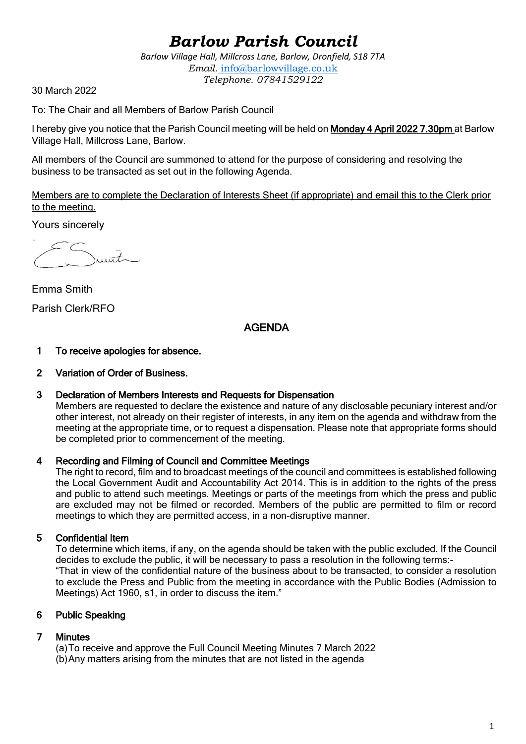# *Barlow Parish Council*

*Barlow Village Hall, Millcross Lane, Barlow, Dronfield, S18 7TA Email.* info@barlowvillage.co.uk *Telephone. 07841529122*

30 March 2022

To: The Chair and all Members of Barlow Parish Council

I hereby give you notice that the Parish Council meeting will be held on Monday 4 April 2022 7.30pm at Barlow Village Hall, Millcross Lane, Barlow.

All members of the Council are summoned to attend for the purpose of considering and resolving the business to be transacted as set out in the following Agenda.

Members are to complete the Declaration of Interests Sheet (if appropriate) and email this to the Clerk prior to the meeting.

Yours sincerely

 $urt$ 

Emma Smith Parish Clerk/RFO

## AGENDA

## 1 To receive apologies for absence.

## 2 Variation of Order of Business.

## 3 Declaration of Members Interests and Requests for Dispensation

Members are requested to declare the existence and nature of any disclosable pecuniary interest and/or other interest, not already on their register of interests, in any item on the agenda and withdraw from the meeting at the appropriate time, or to request a dispensation. Please note that appropriate forms should be completed prior to commencement of the meeting.

## 4 Recording and Filming of Council and Committee Meetings

The right to record, film and to broadcast meetings of the council and committees is established following the Local Government Audit and Accountability Act 2014. This is in addition to the rights of the press and public to attend such meetings. Meetings or parts of the meetings from which the press and public are excluded may not be filmed or recorded. Members of the public are permitted to film or record meetings to which they are permitted access, in a non-disruptive manner.

## 5 Confidential Item

To determine which items, if any, on the agenda should be taken with the public excluded. If the Council decides to exclude the public, it will be necessary to pass a resolution in the following terms:- "That in view of the confidential nature of the business about to be transacted, to consider a resolution to exclude the Press and Public from the meeting in accordance with the Public Bodies (Admission to Meetings) Act 1960, s1, in order to discuss the item."

## 6 Public Speaking

## 7 Minutes

(a)To receive and approve the Full Council Meeting Minutes 7 March 2022 (b)Any matters arising from the minutes that are not listed in the agenda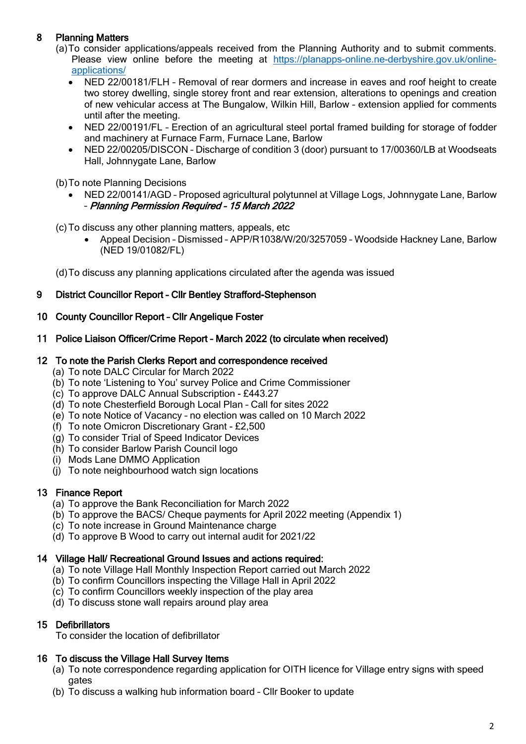## 8 Planning Matters

- (a)To consider applications/appeals received from the Planning Authority and to submit comments. Please view online before the meeting at [https://planapps-online.ne-derbyshire.gov.uk/online](https://planapps-online.ne-derbyshire.gov.uk/online-applications/)[applications/](https://planapps-online.ne-derbyshire.gov.uk/online-applications/)
	- NED 22/00181/FLH Removal of rear dormers and increase in eaves and roof height to create two storey dwelling, single storey front and rear extension, alterations to openings and creation of new vehicular access at The Bungalow, Wilkin Hill, Barlow – extension applied for comments until after the meeting.
	- NED 22/00191/FL Erection of an agricultural steel portal framed building for storage of fodder and machinery at Furnace Farm, Furnace Lane, Barlow
	- NED 22/00205/DISCON Discharge of condition 3 (door) pursuant to 17/00360/LB at Woodseats Hall, Johnnygate Lane, Barlow

(b)To note Planning Decisions

• NED 22/00141/AGD – Proposed agricultural polytunnel at Village Logs, Johnnygate Lane, Barlow – Planning Permission Required – 15 March 2022

(c)To discuss any other planning matters, appeals, etc

• Appeal Decision – Dismissed – APP/R1038/W/20/3257059 – Woodside Hackney Lane, Barlow (NED 19/01082/FL)

(d)To discuss any planning applications circulated after the agenda was issued

## 9 District Councillor Report – Cllr Bentley Strafford-Stephenson

## 10 County Councillor Report – Cllr Angelique Foster

11 Police Liaison Officer/Crime Report – March 2022 (to circulate when received)

## 12 To note the Parish Clerks Report and correspondence received

- (a) To note DALC Circular for March 2022
- (b) To note 'Listening to You' survey Police and Crime Commissioner
- (c) To approve DALC Annual Subscription £443.27
- (d) To note Chesterfield Borough Local Plan Call for sites 2022
- (e) To note Notice of Vacancy no election was called on 10 March 2022
- (f) To note Omicron Discretionary Grant £2,500
- (g) To consider Trial of Speed Indicator Devices
- (h) To consider Barlow Parish Council logo
- (i) Mods Lane DMMO Application
- (i) To note neighbourhood watch sign locations

## 13 Finance Report

- (a) To approve the Bank Reconciliation for March 2022
- (b) To approve the BACS/ Cheque payments for April 2022 meeting (Appendix 1)
- (c) To note increase in Ground Maintenance charge
- (d) To approve B Wood to carry out internal audit for 2021/22

## 14 Village Hall/ Recreational Ground Issues and actions required:

- (a) To note Village Hall Monthly Inspection Report carried out March 2022
- (b) To confirm Councillors inspecting the Village Hall in April 2022
- (c) To confirm Councillors weekly inspection of the play area
- (d) To discuss stone wall repairs around play area

## 15 Defibrillators

To consider the location of defibrillator

## 16 To discuss the Village Hall Survey Items

- (a) To note correspondence regarding application for OITH licence for Village entry signs with speed gates
- (b) To discuss a walking hub information board Cllr Booker to update